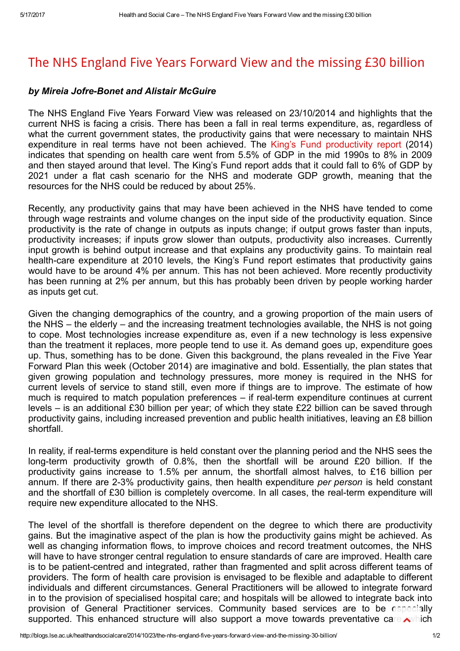## The NHS England Five Years [Forward](http://blogs.lse.ac.uk/healthandsocialcare/2014/10/23/the-nhs-england-five-years-forward-view-and-the-missing-30-billion/) View and the missing £30 billion

## by Mireia Jofre-Bonet and Alistair McGuire

The NHS England Five Years Forward View was released on 23/10/2014 and highlights that the current NHS is facing a crisis. There has been a fall in real terms expenditure, as, regardless of what the current government states, the productivity gains that were necessary to maintain NHS expenditure in real terms have not been achieved. The King's Fund [productivity](http://www.kingsfund.org.uk/publications/nhs-productivity-challenge) report (2014) indicates that spending on health care went from 5.5% of GDP in the mid 1990s to 8% in 2009 and then stayed around that level. The King's Fund report adds that it could fall to 6% of GDP by 2021 under a flat cash scenario for the NHS and moderate GDP growth, meaning that the resources for the NHS could be reduced by about 25%.

Recently, any productivity gains that may have been achieved in the NHS have tended to come through wage restraints and volume changes on the input side of the productivity equation. Since productivity is the rate of change in outputs as inputs change; if output grows faster than inputs, productivity increases; if inputs grow slower than outputs, productivity also increases. Currently input growth is behind output increase and that explains any productivity gains. To maintain real health-care expenditure at 2010 levels, the King's Fund report estimates that productivity gains would have to be around 4% per annum. This has not been achieved. More recently productivity has been running at 2% per annum, but this has probably been driven by people working harder as inputs get cut.

Given the changing demographics of the country, and a growing proportion of the main users of the NHS – the elderly – and the increasing treatment technologies available, the NHS is not going to cope. Most technologies increase expenditure as, even if a new technology is less expensive than the treatment it replaces, more people tend to use it. As demand goes up, expenditure goes up. Thus, something has to be done. Given this background, the plans revealed in the Five Year Forward Plan this week (October 2014) are imaginative and bold. Essentially, the plan states that given growing population and technology pressures, more money is required in the NHS for current levels of service to stand still, even more if things are to improve. The estimate of how much is required to match population preferences – if real-term expenditure continues at current levels – is an additional £30 billion per year; of which they state £22 billion can be saved through productivity gains, including increased prevention and public health initiatives, leaving an £8 billion shortfall.

In reality, if real-terms expenditure is held constant over the planning period and the NHS sees the long-term productivity growth of  $0.8\%$ , then the shortfall will be around £20 billion. If the productivity gains increase to 1.5% per annum, the shortfall almost halves, to £16 billion per annum. If there are 2-3% productivity gains, then health expenditure per person is held constant and the shortfall of £30 billion is completely overcome. In all cases, the real-term expenditure will require new expenditure allocated to the NHS.

The level of the shortfall is therefore dependent on the degree to which there are productivity gains. But the imaginative aspect of the plan is how the productivity gains might be achieved. As well as changing information flows, to improve choices and record treatment outcomes, the NHS will have to have stronger central regulation to ensure standards of care are improved. Health care is to be patient-centred and integrated, rather than fragmented and split across different teams of providers. The form of health care provision is envisaged to be flexible and adaptable to different individuals and different circumstances. General Practitioners will be allowed to integrate forward in to the provision of specialised hospital care; and hospitals will be allowed to integrate back into provision of General Practitioner services. Community based services are to be especially supported. This enhanced structure will also support a move towards preventative care, which